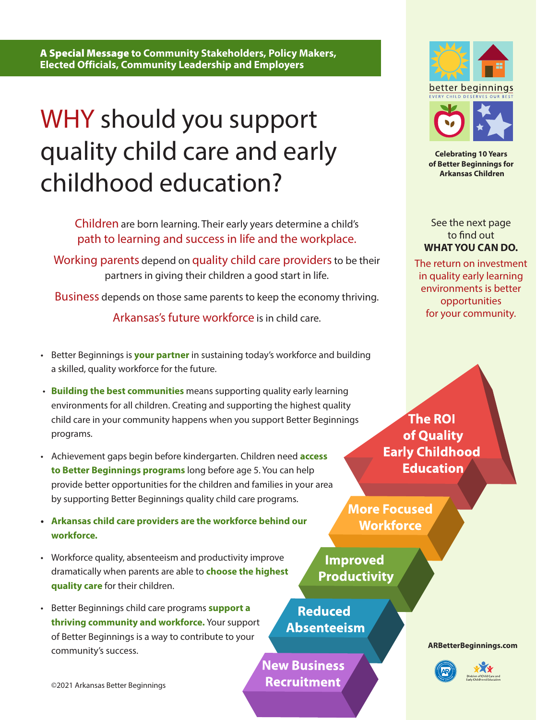A Special Message **to Community Stakeholders, Policy Makers, Elected Officials, Community Leadership and Employers**

## WHY should you support quality child care and early childhood education?

Children are born learning. Their early years determine a child's path to learning and success in life and the workplace.

Working parents depend on quality child care providers to be their partners in giving their children a good start in life.

Business depends on those same parents to keep the economy thriving.

Arkansas's future workforce is in child care.

- Better Beginnings is **your partner** in sustaining today's workforce and building a skilled, quality workforce for the future.
- **Building the best communities** means supporting quality early learning environments for all children. Creating and supporting the highest quality child care in your community happens when you support Better Beginnings programs.
- Achievement gaps begin before kindergarten. Children need **access to Better Beginnings programs** long before age 5. You can help provide better opportunities for the children and families in your area by supporting Better Beginnings quality child care programs.
- **• Arkansas child care providers are the workforce behind our workforce.**
- Workforce quality, absenteeism and productivity improve dramatically when parents are able to **choose the highest quality care** for their children.
- Better Beginnings child care programs **support a thriving community and workforce.** Your support of Better Beginnings is a way to contribute to your community's success.

©2021 Arkansas Better Beginnings

**The ROI** of Quality **Early Childhood Education** 

**More Focused Workforce** 

**Improved Productivity** 

**Reduced Absenteeism** 

**New Business Recruitment** 

**[ARBetterBeginnings.com](https://arbetterbeginnings.com/)**





**Celebrating 10 Years of Better Beginnings for Arkansas Children**

See the next page to find out **WHAT YOU CAN DO.** 

The return on investment in quality early learning environments is better opportunities for your community.